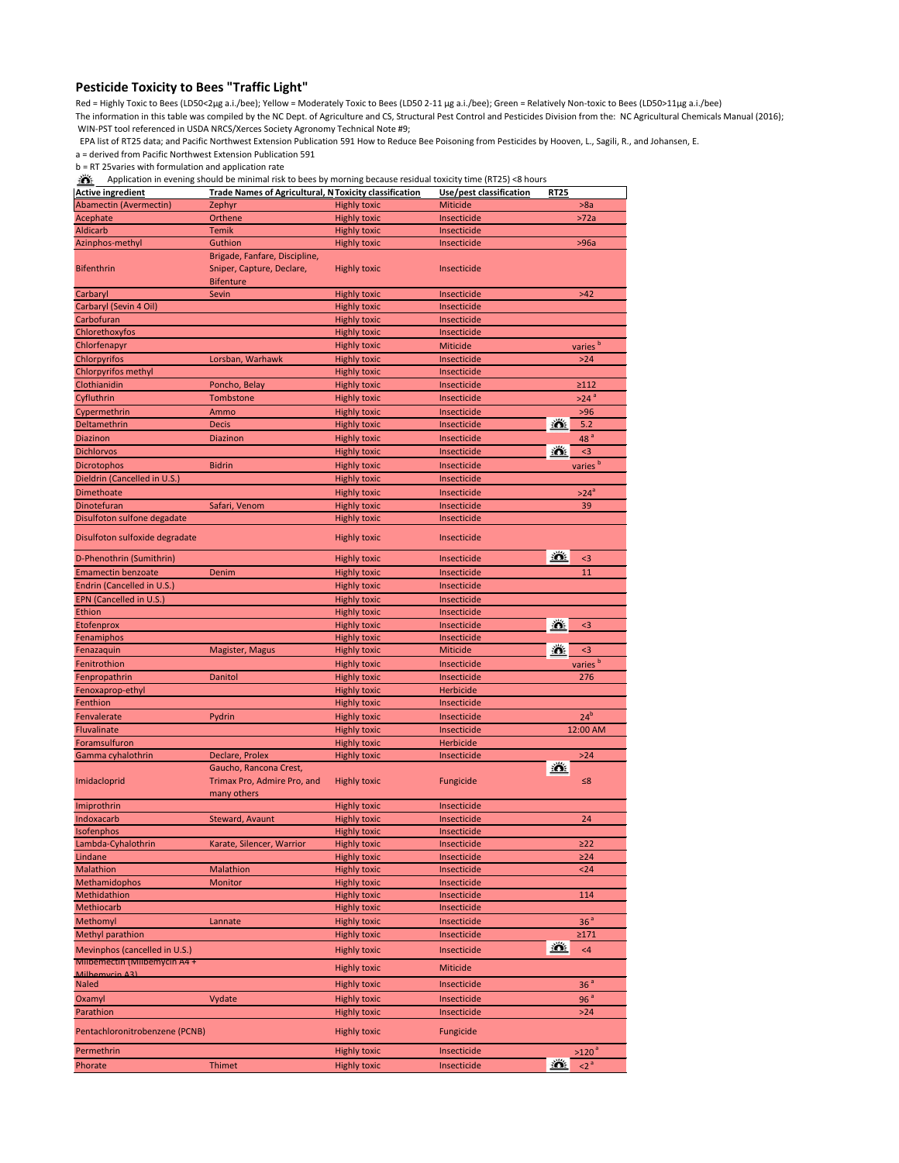## **Pesticide Toxicity to Bees "Traffic Light"**

Red = Highly Toxic to Bees (LD50<2µg a.i./bee); Yellow = Moderately Toxic to Bees (LD50 2-11 µg a.i./bee); Green = Relatively Non-toxic to Bees (LD50>11µg a.i./bee) The information in this table was compiled by the NC Dept. of Agriculture and CS, Structural Pest Control and Pesticides Division from the: NC Agricultural Chemicals Manual (2016); WIN-PST tool referenced in USDA NRCS/Xerces Society Agronomy Technical Note #9;

EPA list of RT25 data; and Pacific Northwest Extension Publication 591 How to Reduce Bee Poisoning from Pesticides by Hooven, L., Sagili, R., and Johansen, E.

a = derived from Pacific Northwest Extension Publication 591

b = RT 25varies with formulation and application rate

Application in evening should be minimal risk to bees by morning because residual toxicity time (RT25) <8 hours

| <b>Active ingredient</b>                                     | <b>Trade Names of Agricultural, N Toxicity classification</b>                  |                                            | Use/pest classification  | <b>RT25</b> |                     |
|--------------------------------------------------------------|--------------------------------------------------------------------------------|--------------------------------------------|--------------------------|-------------|---------------------|
| Abamectin (Avermectin)                                       | Zephyr                                                                         | <b>Highly toxic</b>                        | Miticide                 |             | >8a                 |
| Acephate                                                     | Orthene                                                                        | <b>Highly toxic</b>                        | Insecticide              |             | >72a                |
| <b>Aldicarb</b>                                              | <b>Temik</b>                                                                   | <b>Highly toxic</b>                        | Insecticide              |             |                     |
| Azinphos-methyl                                              | Guthion                                                                        | <b>Highly toxic</b>                        | Insecticide              |             | >96a                |
| <b>Bifenthrin</b>                                            | Brigade, Fanfare, Discipline,<br>Sniper, Capture, Declare,<br><b>Bifenture</b> | <b>Highly toxic</b>                        | Insecticide              |             |                     |
| Carbaryl                                                     | Sevin                                                                          | <b>Highly toxic</b>                        | Insecticide              |             | $>42$               |
| Carbaryl (Sevin 4 Oil)                                       |                                                                                | <b>Highly toxic</b>                        | Insecticide              |             |                     |
| Carbofuran                                                   |                                                                                | <b>Highly toxic</b>                        | Insecticide              |             |                     |
| Chlorethoxyfos                                               |                                                                                | <b>Highly toxic</b>                        | Insecticide              |             |                     |
| Chlorfenapyr                                                 |                                                                                | <b>Highly toxic</b>                        | Miticide                 |             | varies <sup>b</sup> |
| Chlorpyrifos                                                 | Lorsban, Warhawk                                                               | <b>Highly toxic</b>                        | Insecticide              |             | $>24$               |
| Chlorpyrifos methyl                                          |                                                                                | <b>Highly toxic</b>                        | Insecticide              |             |                     |
| Clothianidin                                                 | Poncho, Belay                                                                  | <b>Highly toxic</b>                        | Insecticide              |             | $\geq$ 112          |
| Cyfluthrin                                                   | Tombstone                                                                      | <b>Highly toxic</b>                        | Insecticide              |             | $>24$ $\degree$     |
| Cypermethrin                                                 | Ammo                                                                           | <b>Highly toxic</b>                        | Insecticide              |             | $>96$               |
| Deltamethrin                                                 | <b>Decis</b>                                                                   | <b>Highly toxic</b>                        | Insecticide              | <u>XX</u>   | 5.2                 |
| <b>Diazinon</b>                                              | <b>Diazinon</b>                                                                | <b>Highly toxic</b>                        | Insecticide              |             | 48 <sup>a</sup>     |
| <b>Dichlorvos</b>                                            |                                                                                | <b>Highly toxic</b>                        | Insecticide              | 道           | $3$                 |
| <b>Dicrotophos</b>                                           | <b>Bidrin</b>                                                                  | <b>Highly toxic</b>                        | Insecticide              |             | varies <sup>b</sup> |
| Dieldrin (Cancelled in U.S.)                                 |                                                                                | <b>Highly toxic</b>                        | Insecticide              |             |                     |
| <b>Dimethoate</b>                                            |                                                                                | <b>Highly toxic</b>                        | Insecticide              |             | $>24^{\circ}$       |
| Dinotefuran                                                  | Safari, Venom                                                                  | <b>Highly toxic</b>                        | Insecticide              |             | 39                  |
| Disulfoton sulfone degadate                                  |                                                                                | <b>Highly toxic</b>                        | Insecticide              |             |                     |
| Disulfoton sulfoxide degradate                               |                                                                                | <b>Highly toxic</b>                        | Insecticide              |             |                     |
| D-Phenothrin (Sumithrin)                                     |                                                                                | <b>Highly toxic</b>                        | Insecticide              | <u>XX</u>   | $3$                 |
| <b>Emamectin benzoate</b>                                    | Denim                                                                          | <b>Highly toxic</b>                        | Insecticide              |             | 11                  |
| Endrin (Cancelled in U.S.)                                   |                                                                                | <b>Highly toxic</b>                        | Insecticide              |             |                     |
| EPN (Cancelled in U.S.)                                      |                                                                                | <b>Highly toxic</b>                        | Insecticide              |             |                     |
| Ethion                                                       |                                                                                | <b>Highly toxic</b>                        | Insecticide              |             |                     |
| Etofenprox                                                   |                                                                                | <b>Highly toxic</b>                        | Insecticide              | 道           | $3$                 |
| Fenamiphos                                                   |                                                                                | <b>Highly toxic</b>                        | Insecticide              |             |                     |
| Fenazaquin                                                   | Magister, Magus                                                                | <b>Highly toxic</b>                        | Miticide                 | <u>:ö.</u>  | $3$                 |
| Fenitrothion                                                 |                                                                                | <b>Highly toxic</b>                        | Insecticide              |             | varies <sup>b</sup> |
| Fenpropathrin                                                | <b>Danitol</b>                                                                 | <b>Highly toxic</b>                        | Insecticide              |             | 276                 |
| Fenoxaprop-ethyl                                             |                                                                                | <b>Highly toxic</b>                        | <b>Herbicide</b>         |             |                     |
| Fenthion                                                     |                                                                                | <b>Highly toxic</b>                        | Insecticide              |             |                     |
| Fenvalerate                                                  | Pydrin                                                                         | <b>Highly toxic</b>                        | Insecticide              |             | 24 <sup>b</sup>     |
| Fluvalinate                                                  |                                                                                | <b>Highly toxic</b>                        | Insecticide              |             | 12:00 AM            |
| Foramsulfuron                                                |                                                                                | <b>Highly toxic</b>                        | <b>Herbicide</b>         |             |                     |
| Gamma cyhalothrin<br>Imidacloprid                            | Declare, Prolex<br>Gaucho, Rancona Crest,<br>Trimax Pro, Admire Pro, and       | <b>Highly toxic</b><br><b>Highly toxic</b> | Insecticide<br>Fungicide | <u>XX</u>   | $>24$<br>$\leq 8$   |
|                                                              | many others                                                                    |                                            |                          |             |                     |
| Imiprothrin                                                  |                                                                                | <b>Highly toxic</b>                        | Insecticide              |             |                     |
| Indoxacarb                                                   | Steward, Avaunt                                                                | <b>Highly toxic</b>                        | Insecticide              |             | 24                  |
| Isofenphos                                                   |                                                                                | <b>Highly toxic</b>                        | Insecticide              |             |                     |
| Lambda-Cyhalothrin                                           | Karate, Silencer, Warrior                                                      | <b>Highly toxic</b>                        | Insecticide              |             | $\geq$ 22           |
| Lindane                                                      |                                                                                | <b>Highly toxic</b>                        | Insecticide              |             | $\geq$ 24           |
| <b>Malathion</b>                                             | Malathion                                                                      | <b>Highly toxic</b>                        | Insecticide              |             | $24$                |
| Methamidophos                                                | Monitor                                                                        | <b>Highly toxic</b>                        | Insecticide              |             |                     |
| Methidathion                                                 |                                                                                | <b>Highly toxic</b>                        | Insecticide              |             | 114                 |
| Methiocarb                                                   |                                                                                | <b>Highly toxic</b>                        | Insecticide              |             |                     |
| Methomyl                                                     | Lannate                                                                        | <b>Highly toxic</b>                        | Insecticide              |             | 36 <sup>a</sup>     |
| <b>Methyl parathion</b>                                      |                                                                                | <b>Highly toxic</b>                        | Insecticide              |             | $\geq$ 171          |
| Mevinphos (cancelled in U.S.)<br>Milbemectin (Milbemycin A4+ |                                                                                | <b>Highly toxic</b><br><b>Highly toxic</b> | Insecticide<br>Miticide  | <u>XX</u>   | $<$ 4               |
| Milhemyrin A3)                                               |                                                                                |                                            |                          |             |                     |
| <b>Naled</b>                                                 |                                                                                | <b>Highly toxic</b>                        | Insecticide              |             | 36 <sup>a</sup>     |
| Oxamyl                                                       | Vydate                                                                         | <b>Highly toxic</b>                        | Insecticide              |             | 96 <sup>a</sup>     |
| Parathion                                                    |                                                                                | <b>Highly toxic</b>                        | Insecticide              |             | $>24$               |
| Pentachloronitrobenzene (PCNB)                               |                                                                                | <b>Highly toxic</b>                        | Fungicide                |             |                     |
| Permethrin                                                   |                                                                                | <b>Highly toxic</b>                        | Insecticide              |             | $>120$ $^{\circ}$   |
| Phorate                                                      | Thimet                                                                         | <b>Highly toxic</b>                        | Insecticide              | <u>K.</u>   | 2 <sup>a</sup>      |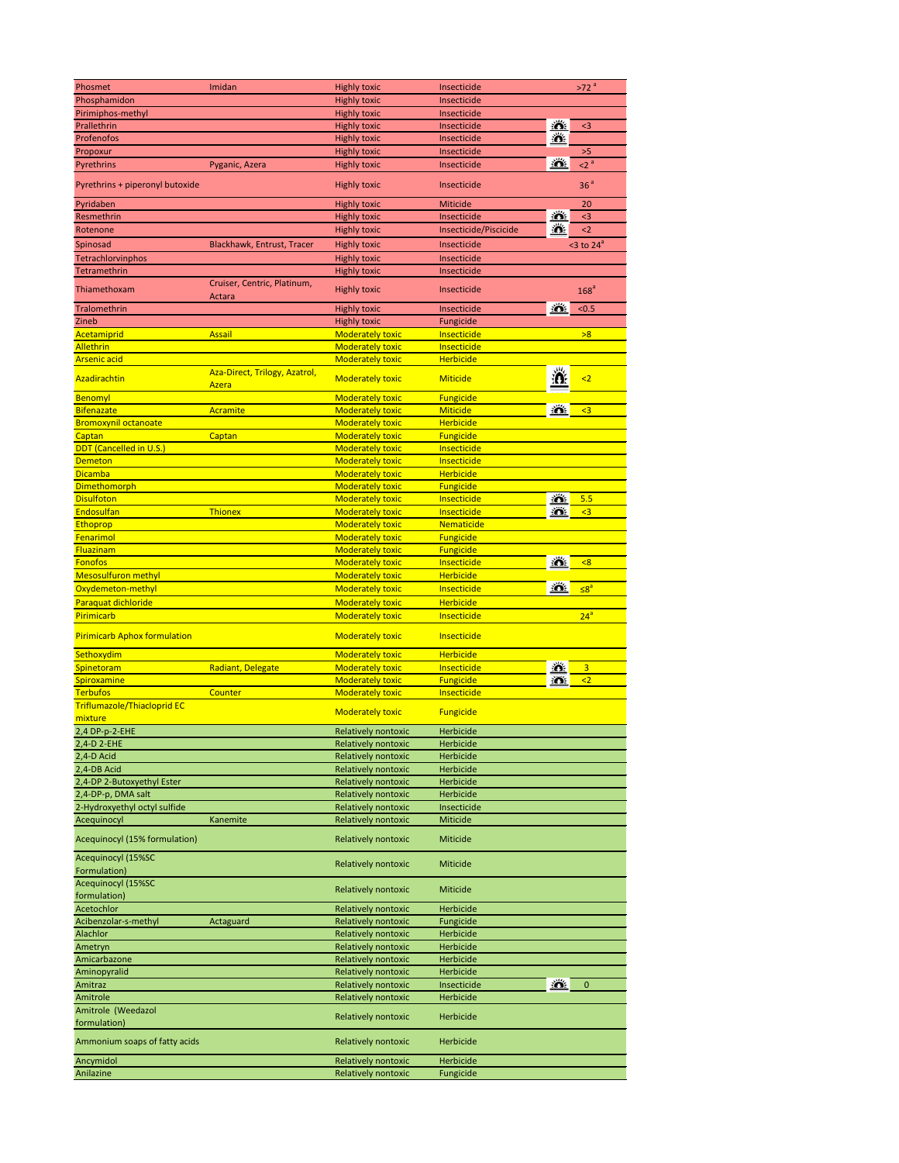| Phosmet                             | Imidan                        | <b>Highly toxic</b>        | Insecticide           |              | >72 <sup>a</sup>        |
|-------------------------------------|-------------------------------|----------------------------|-----------------------|--------------|-------------------------|
| Phosphamidon                        |                               | <b>Highly toxic</b>        | Insecticide           |              |                         |
| Pirimiphos-methyl                   |                               | <b>Highly toxic</b>        | Insecticide           |              |                         |
| Prallethrin                         |                               | <b>Highly toxic</b>        | Insecticide           | ≛            | $3$                     |
| Profenofos                          |                               | <b>Highly toxic</b>        | Insecticide           | 道            |                         |
| Propoxur                            |                               | <b>Highly toxic</b>        | Insecticide           |              | $>5$                    |
| Pyrethrins                          | Pyganic, Azera                | <b>Highly toxic</b>        | Insecticide           | <u>iő:</u>   | 2 <sup>a</sup>          |
|                                     |                               |                            |                       |              |                         |
| Pyrethrins + piperonyl butoxide     |                               | <b>Highly toxic</b>        | Insecticide           |              | 36 <sup>a</sup>         |
| Pyridaben                           |                               | <b>Highly toxic</b>        | <b>Miticide</b>       |              | 20                      |
| Resmethrin                          |                               | <b>Highly toxic</b>        | Insecticide           | 道            | $3$                     |
| Rotenone                            |                               | <b>Highly toxic</b>        | Insecticide/Piscicide | 溢            | $2$                     |
|                                     |                               |                            |                       |              |                         |
| Spinosad                            | Blackhawk, Entrust, Tracer    | <b>Highly toxic</b>        | Insecticide           |              | <3 to $24^a$            |
| Tetrachlorvinphos                   |                               | <b>Highly toxic</b>        | Insecticide           |              |                         |
| Tetramethrin                        |                               | <b>Highly toxic</b>        | Insecticide           |              |                         |
| Thiamethoxam                        | Cruiser, Centric, Platinum,   | <b>Highly toxic</b>        | Insecticide           |              | 168 <sup>a</sup>        |
|                                     | <b>Actara</b>                 |                            |                       |              |                         |
| Tralomethrin                        |                               | <b>Highly toxic</b>        | Insecticide           | 道            | < 0.5                   |
| Zineb                               |                               | <b>Highly toxic</b>        | Fungicide             |              |                         |
| Acetamiprid                         | <b>Assail</b>                 | <b>Moderately toxic</b>    | Insecticide           |              | >8                      |
| <b>Allethrin</b>                    |                               | <b>Moderately toxic</b>    | Insecticide           |              |                         |
| <b>Arsenic acid</b>                 |                               | <b>Moderately toxic</b>    | <b>Herbicide</b>      |              |                         |
|                                     | Aza-Direct, Trilogy, Azatrol, |                            |                       | Ă            |                         |
| Azadirachtin                        | Azera                         | <b>Moderately toxic</b>    | <b>Miticide</b>       |              | $\leq$                  |
| Benomyl                             |                               | <b>Moderately toxic</b>    | <b>Fungicide</b>      |              |                         |
| <b>Bifenazate</b>                   | Acramite                      | <b>Moderately toxic</b>    | <b>Miticide</b>       | 道            | $\leq$ 3                |
| <b>Bromoxynil octanoate</b>         |                               | <b>Moderately toxic</b>    | <b>Herbicide</b>      |              |                         |
| Captan                              | Captan                        | <b>Moderately toxic</b>    | <b>Fungicide</b>      |              |                         |
| <b>DDT</b> (Cancelled in U.S.)      |                               | <b>Moderately toxic</b>    | Insecticide           |              |                         |
| <b>Demeton</b>                      |                               | <b>Moderately toxic</b>    | Insecticide           |              |                         |
| <b>Dicamba</b>                      |                               | Moderately toxic           | <b>Herbicide</b>      |              |                         |
|                                     |                               |                            |                       |              |                         |
| <b>Dimethomorph</b>                 |                               | <b>Moderately toxic</b>    | <b>Fungicide</b>      |              |                         |
| <b>Disulfoton</b>                   |                               | <b>Moderately toxic</b>    | Insecticide           | ÷Ő.          | 5.5                     |
| Endosulfan                          | <b>Thionex</b>                | <b>Moderately toxic</b>    | Insecticide           | ÷Ő.          | $3$                     |
| Ethoprop                            |                               | <b>Moderately toxic</b>    | Nematicide            |              |                         |
| Fenarimol                           |                               | <b>Moderately toxic</b>    | <b>Fungicide</b>      |              |                         |
| Fluazinam                           |                               | <b>Moderately toxic</b>    | <b>Fungicide</b>      |              |                         |
| <b>Fonofos</b>                      |                               | <b>Moderately toxic</b>    | Insecticide           | ≛            | < 8                     |
| <b>Mesosulfuron methyl</b>          |                               | <b>Moderately toxic</b>    | <b>Herbicide</b>      |              |                         |
| Oxydemeton-methyl                   |                               | <b>Moderately toxic</b>    | Insecticide           | ÷Ő.          | $\leq 8^a$              |
| Paraquat dichloride                 |                               | <b>Moderately toxic</b>    | <b>Herbicide</b>      |              |                         |
| Pirimicarb                          |                               | <b>Moderately toxic</b>    | Insecticide           |              | 24 <sup>a</sup>         |
|                                     |                               |                            |                       |              |                         |
| <b>Pirimicarb Aphox formulation</b> |                               | <b>Moderately toxic</b>    | Insecticide           |              |                         |
| Sethoxydim                          |                               | <b>Moderately toxic</b>    | <b>Herbicide</b>      |              |                         |
|                                     |                               |                            | Insecticide           | ÷Ö.          |                         |
| Spinetoram                          | Radiant, Delegate             | <b>Moderately toxic</b>    |                       |              | $\overline{\mathbf{3}}$ |
| Spiroxamine                         |                               | <b>Moderately toxic</b>    | <b>Fungicide</b>      | ÷Õ.          | $2$                     |
| <b>Terbufos</b>                     | Counter                       | <b>Moderately toxic</b>    | Insecticide           |              |                         |
| <b>Triflumazole/Thiacloprid EC</b>  |                               | <b>Moderately toxic</b>    | <b>Fungicide</b>      |              |                         |
| mixture                             |                               |                            |                       |              |                         |
| 2,4 DP-p-2-EHE                      |                               | <b>Relatively nontoxic</b> | <b>Herbicide</b>      |              |                         |
| 2,4-D 2-EHE                         |                               | <b>Relatively nontoxic</b> | Herbicide             |              |                         |
| 2,4-D Acid                          |                               | <b>Relatively nontoxic</b> | Herbicide             |              |                         |
| 2,4-DB Acid                         |                               | <b>Relatively nontoxic</b> | Herbicide             |              |                         |
| 2,4-DP 2-Butoxyethyl Ester          |                               | <b>Relatively nontoxic</b> | Herbicide             |              |                         |
| 2,4-DP-p, DMA salt                  |                               | <b>Relatively nontoxic</b> | <b>Herbicide</b>      |              |                         |
| 2-Hydroxyethyl octyl sulfide        |                               | <b>Relatively nontoxic</b> | Insecticide           |              |                         |
| Acequinocyl                         | Kanemite                      | <b>Relatively nontoxic</b> | Miticide              |              |                         |
|                                     |                               |                            |                       |              |                         |
| Acequinocyl (15% formulation)       |                               | <b>Relatively nontoxic</b> | Miticide              |              |                         |
| Acequinocyl (15%SC                  |                               |                            |                       |              |                         |
| Formulation)                        |                               | <b>Relatively nontoxic</b> | Miticide              |              |                         |
| Acequinocyl (15%SC                  |                               |                            |                       |              |                         |
| formulation)                        |                               | Relatively nontoxic        | Miticide              |              |                         |
| Acetochlor                          |                               | <b>Relatively nontoxic</b> | Herbicide             |              |                         |
| Acibenzolar-s-methyl                | Actaguard                     | <b>Relatively nontoxic</b> | Fungicide             |              |                         |
| Alachlor                            |                               | <b>Relatively nontoxic</b> | Herbicide             |              |                         |
|                                     |                               | <b>Relatively nontoxic</b> | Herbicide             |              |                         |
| Ametryn                             |                               |                            |                       |              |                         |
| Amicarbazone                        |                               | <b>Relatively nontoxic</b> | Herbicide             |              |                         |
| Aminopyralid                        |                               | <b>Relatively nontoxic</b> | Herbicide             |              |                         |
| Amitraz                             |                               | <b>Relatively nontoxic</b> | Insecticide           | <u> : 6:</u> | $\mathbf{0}$            |
| Amitrole                            |                               | Relatively nontoxic        | Herbicide             |              |                         |
| Amitrole (Weedazol                  |                               | <b>Relatively nontoxic</b> | Herbicide             |              |                         |
| formulation)                        |                               |                            |                       |              |                         |
| Ammonium soaps of fatty acids       |                               | <b>Relatively nontoxic</b> | Herbicide             |              |                         |
|                                     |                               |                            |                       |              |                         |
|                                     |                               |                            |                       |              |                         |
| Ancymidol<br>Anilazine              |                               | <b>Relatively nontoxic</b> | Herbicide             |              |                         |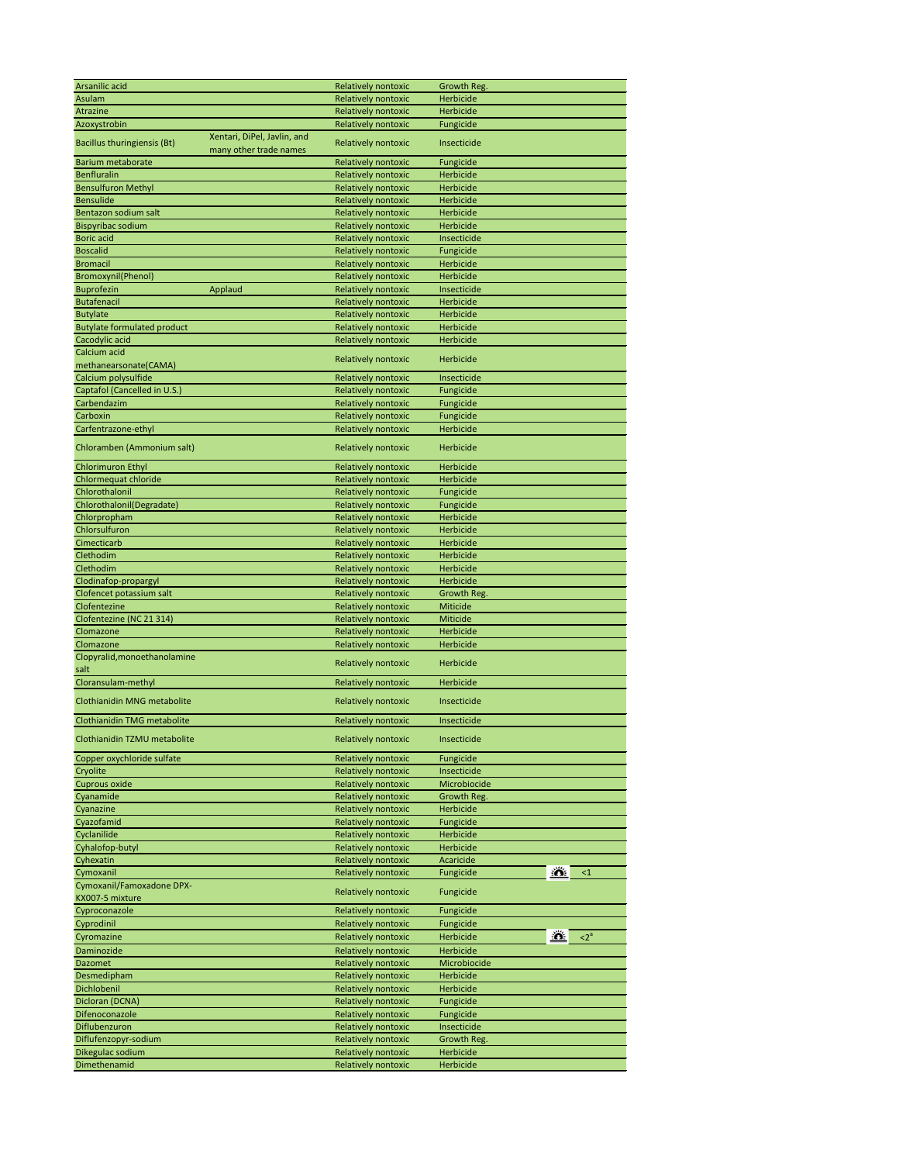| Arsanilic acid                     |                             | Relatively nontoxic                        | Growth Reg.                           |
|------------------------------------|-----------------------------|--------------------------------------------|---------------------------------------|
| <b>Asulam</b>                      |                             | <b>Relatively nontoxic</b>                 | <b>Herbicide</b>                      |
| <b>Atrazine</b>                    |                             | <b>Relatively nontoxic</b>                 | <b>Herbicide</b>                      |
| Azoxystrobin                       |                             | Relatively nontoxic                        | Fungicide                             |
|                                    | Xentari, DiPel, Javlin, and |                                            |                                       |
| Bacillus thuringiensis (Bt)        | many other trade names      | Relatively nontoxic                        | Insecticide                           |
| <b>Barium metaborate</b>           |                             | Relatively nontoxic                        | Fungicide                             |
| <b>Benfluralin</b>                 |                             | <b>Relatively nontoxic</b>                 | <b>Herbicide</b>                      |
|                                    |                             |                                            |                                       |
| <b>Bensulfuron Methyl</b>          |                             | <b>Relatively nontoxic</b>                 | Herbicide                             |
| <b>Bensulide</b>                   |                             | <b>Relatively nontoxic</b>                 | Herbicide                             |
| Bentazon sodium salt               |                             | Relatively nontoxic                        | Herbicide                             |
| <b>Bispyribac sodium</b>           |                             | <b>Relatively nontoxic</b>                 | Herbicide                             |
| <b>Boric</b> acid                  |                             | <b>Relatively nontoxic</b>                 | Insecticide                           |
| <b>Boscalid</b>                    |                             | <b>Relatively nontoxic</b>                 | Fungicide                             |
| <b>Bromacil</b>                    |                             | Relatively nontoxic                        | Herbicide                             |
| <b>Bromoxynil(Phenol)</b>          |                             | Relatively nontoxic                        | Herbicide                             |
| <b>Buprofezin</b>                  | Applaud                     | <b>Relatively nontoxic</b>                 | Insecticide                           |
| <b>Butafenacil</b>                 |                             | <b>Relatively nontoxic</b>                 | <b>Herbicide</b>                      |
| <b>Butylate</b>                    |                             | <b>Relatively nontoxic</b>                 | Herbicide                             |
| <b>Butylate formulated product</b> |                             | <b>Relatively nontoxic</b>                 | Herbicide                             |
| Cacodylic acid                     |                             | Relatively nontoxic                        | Herbicide                             |
| Calcium acid                       |                             |                                            |                                       |
| methanearsonate(CAMA)              |                             | Relatively nontoxic                        | Herbicide                             |
| Calcium polysulfide                |                             | <b>Relatively nontoxic</b>                 | Insecticide                           |
|                                    |                             |                                            |                                       |
| Captafol (Cancelled in U.S.)       |                             | Relatively nontoxic                        | Fungicide                             |
| Carbendazim                        |                             | Relatively nontoxic                        | Fungicide                             |
| Carboxin                           |                             | <b>Relatively nontoxic</b>                 | Fungicide                             |
| Carfentrazone-ethyl                |                             | Relatively nontoxic                        | Herbicide                             |
| Chloramben (Ammonium salt)         |                             | <b>Relatively nontoxic</b>                 | Herbicide                             |
|                                    |                             |                                            |                                       |
| <b>Chlorimuron Ethyl</b>           |                             | <b>Relatively nontoxic</b>                 | Herbicide                             |
| Chlormequat chloride               |                             | <b>Relatively nontoxic</b>                 | Herbicide                             |
| Chlorothalonil                     |                             | <b>Relatively nontoxic</b>                 | Fungicide                             |
| Chlorothalonil(Degradate)          |                             | <b>Relatively nontoxic</b>                 | Fungicide                             |
| Chlorpropham                       |                             | Relatively nontoxic                        | Herbicide                             |
| Chlorsulfuron                      |                             | <b>Relatively nontoxic</b>                 | Herbicide                             |
|                                    |                             |                                            |                                       |
| Cimecticarb                        |                             | <b>Relatively nontoxic</b>                 | Herbicide                             |
| Clethodim                          |                             | <b>Relatively nontoxic</b>                 | <b>Herbicide</b>                      |
| Clethodim                          |                             | <b>Relatively nontoxic</b>                 | Herbicide                             |
|                                    |                             |                                            |                                       |
| Clodinafop-propargyl               |                             | Relatively nontoxic                        | <b>Herbicide</b>                      |
| Clofencet potassium salt           |                             | <b>Relatively nontoxic</b>                 | Growth Reg.                           |
| Clofentezine                       |                             | <b>Relatively nontoxic</b>                 | Miticide                              |
| Clofentezine (NC 21 314)           |                             | <b>Relatively nontoxic</b>                 | Miticide                              |
| Clomazone                          |                             | <b>Relatively nontoxic</b>                 | Herbicide                             |
| Clomazone                          |                             |                                            |                                       |
|                                    |                             | Relatively nontoxic                        | Herbicide                             |
| Clopyralid, monoethanolamine       |                             | Relatively nontoxic                        | Herbicide                             |
| salt                               |                             |                                            |                                       |
| Cloransulam-methyl                 |                             | Relatively nontoxic                        | Herbicide                             |
| Clothianidin MNG metabolite        |                             | Relatively nontoxic                        | Insecticide                           |
|                                    |                             |                                            |                                       |
| <b>Clothianidin TMG metabolite</b> |                             | Relatively nontoxic                        | Insecticide                           |
|                                    |                             |                                            |                                       |
| Clothianidin TZMU metabolite       |                             | Relatively nontoxic                        | Insecticide                           |
| Copper oxychloride sulfate         |                             | Relatively nontoxic                        | Fungicide                             |
| Cryolite                           |                             | Relatively nontoxic                        | Insecticide                           |
| Cuprous oxide                      |                             | <b>Relatively nontoxic</b>                 | Microbiocide                          |
| Cyanamide                          |                             | <b>Relatively nontoxic</b>                 | Growth Reg.                           |
| Cyanazine                          |                             | Relatively nontoxic                        | <b>Herbicide</b>                      |
| Cyazofamid                         |                             | <b>Relatively nontoxic</b>                 | Fungicide                             |
|                                    |                             |                                            |                                       |
| Cyclanilide                        |                             | Relatively nontoxic                        | Herbicide                             |
| Cyhalofop-butyl                    |                             | <b>Relatively nontoxic</b>                 | Herbicide                             |
| Cyhexatin                          |                             | <b>Relatively nontoxic</b>                 | Acaricide<br>رمغد                     |
| Cymoxanil                          |                             | <b>Relatively nontoxic</b>                 | Fungicide<br><u>Ю.</u><br>$\leq$ 1    |
| Cymoxanil/Famoxadone DPX-          |                             | <b>Relatively nontoxic</b>                 |                                       |
| KX007-5 mixture                    |                             |                                            | Fungicide                             |
| Cyproconazole                      |                             | <b>Relatively nontoxic</b>                 | Fungicide                             |
| Cyprodinil                         |                             | <b>Relatively nontoxic</b>                 | Fungicide                             |
| Cyromazine                         |                             | <b>Relatively nontoxic</b>                 | <u>iő:</u><br>$\leq 2^a$<br>Herbicide |
| Daminozide                         |                             | <b>Relatively nontoxic</b>                 | Herbicide                             |
|                                    |                             |                                            |                                       |
| <b>Dazomet</b>                     |                             | Relatively nontoxic                        | Microbiocide                          |
| Desmedipham                        |                             | <b>Relatively nontoxic</b>                 | Herbicide                             |
| Dichlobenil                        |                             | Relatively nontoxic                        | Herbicide                             |
| Dicloran (DCNA)                    |                             | <b>Relatively nontoxic</b>                 | Fungicide                             |
| Difenoconazole                     |                             | Relatively nontoxic                        | Fungicide                             |
| Diflubenzuron                      |                             | Relatively nontoxic                        | Insecticide                           |
| Diflufenzopyr-sodium               |                             | <b>Relatively nontoxic</b>                 | Growth Reg.                           |
| Dikegulac sodium<br>Dimethenamid   |                             | Relatively nontoxic<br>Relatively nontoxic | Herbicide<br>Herbicide                |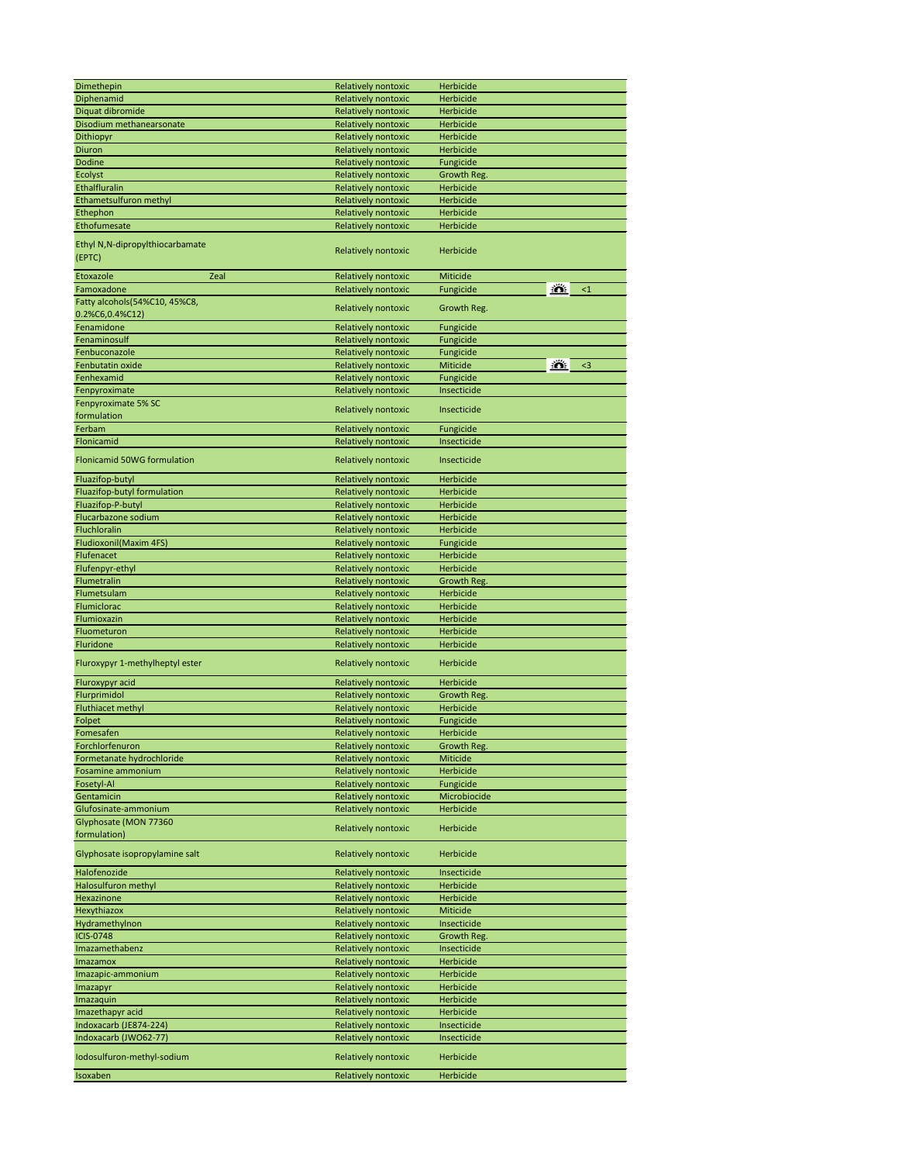| Dimethepin                         | Relatively nontoxic        | Herbicide                           |
|------------------------------------|----------------------------|-------------------------------------|
| Diphenamid                         | <b>Relatively nontoxic</b> | <b>Herbicide</b>                    |
| Diquat dibromide                   | <b>Relatively nontoxic</b> | Herbicide                           |
|                                    |                            |                                     |
| Disodium methanearsonate           | <b>Relatively nontoxic</b> | Herbicide                           |
| Dithiopyr                          | Relatively nontoxic        | Herbicide                           |
| Diuron                             | Relatively nontoxic        | Herbicide                           |
| <b>Dodine</b>                      | <b>Relatively nontoxic</b> | Fungicide                           |
| Ecolyst                            | <b>Relatively nontoxic</b> | Growth Reg.                         |
|                                    |                            |                                     |
| Ethalfluralin                      | <b>Relatively nontoxic</b> | Herbicide                           |
| Ethametsulfuron methyl             | Relatively nontoxic        | Herbicide                           |
| Ethephon                           | Relatively nontoxic        | Herbicide                           |
| Ethofumesate                       | Relatively nontoxic        | Herbicide                           |
|                                    |                            |                                     |
| Ethyl N, N-dipropylthiocarbamate   |                            |                                     |
| (EPTC)                             | Relatively nontoxic        | Herbicide                           |
|                                    |                            |                                     |
| Etoxazole<br>Zeal                  | Relatively nontoxic        | Miticide                            |
| Famoxadone                         | Relatively nontoxic        | <u>:ö.</u><br>Fungicide<br>$\leq 1$ |
| Fatty alcohols(54%C10, 45%C8,      |                            |                                     |
|                                    | Relatively nontoxic        | Growth Reg.                         |
| 0.2%C6,0.4%C12)                    |                            |                                     |
| Fenamidone                         | Relatively nontoxic        | Fungicide                           |
| Fenaminosulf                       | Relatively nontoxic        | Fungicide                           |
| Fenbuconazole                      | <b>Relatively nontoxic</b> | Fungicide                           |
| Fenbutatin oxide                   |                            | <u>:0.</u><br>Miticide<br>$3$       |
|                                    | Relatively nontoxic        |                                     |
| Fenhexamid                         | <b>Relatively nontoxic</b> | Fungicide                           |
| Fenpyroximate                      | Relatively nontoxic        | Insecticide                         |
| Fenpyroximate 5% SC                |                            |                                     |
| formulation                        | Relatively nontoxic        | Insecticide                         |
| Ferbam                             | <b>Relatively nontoxic</b> |                                     |
|                                    |                            | Fungicide                           |
| Flonicamid                         | <b>Relatively nontoxic</b> | Insecticide                         |
|                                    |                            |                                     |
| <b>Flonicamid 50WG formulation</b> | Relatively nontoxic        | Insecticide                         |
| Fluazifop-butyl                    | Relatively nontoxic        | Herbicide                           |
|                                    |                            |                                     |
| Fluazifop-butyl formulation        | <b>Relatively nontoxic</b> | <b>Herbicide</b>                    |
| Fluazifop-P-butyl                  | <b>Relatively nontoxic</b> | Herbicide                           |
| Flucarbazone sodium                | Relatively nontoxic        | Herbicide                           |
| Fluchloralin                       | Relatively nontoxic        | <b>Herbicide</b>                    |
|                                    |                            |                                     |
| Fludioxonil(Maxim 4FS)             | <b>Relatively nontoxic</b> | Fungicide                           |
| Flufenacet                         | <b>Relatively nontoxic</b> | Herbicide                           |
| Flufenpyr-ethyl                    | <b>Relatively nontoxic</b> | Herbicide                           |
| Flumetralin                        | Relatively nontoxic        | Growth Reg.                         |
| Flumetsulam                        | Relatively nontoxic        | Herbicide                           |
| Flumiclorac                        | <b>Relatively nontoxic</b> | Herbicide                           |
|                                    |                            |                                     |
| Flumioxazin                        | <b>Relatively nontoxic</b> | <b>Herbicide</b>                    |
| Fluometuron                        | <b>Relatively nontoxic</b> | Herbicide                           |
| Fluridone                          | Relatively nontoxic        | Herbicide                           |
|                                    |                            |                                     |
| Fluroxypyr 1-methylheptyl ester    | Relatively nontoxic        | Herbicide                           |
|                                    |                            |                                     |
| Fluroxypyr acid                    | Relatively nontoxic        | Herbicide                           |
| Flurprimidol                       | <b>Relatively nontoxic</b> | Growth Reg.                         |
| Fluthiacet methyl                  | Relatively nontoxic        | Herbicide                           |
| Folpet                             | Relatively nontoxic        | Fungicide                           |
| Fomesafen                          | <b>Relatively nontoxic</b> | Herbicide                           |
| Forchlorfenuron                    |                            |                                     |
|                                    | <b>Relatively nontoxic</b> | Growth Reg.                         |
| Formetanate hydrochloride          | <b>Relatively nontoxic</b> | Miticide                            |
| <b>Fosamine ammonium</b>           | <b>Relatively nontoxic</b> | Herbicide                           |
| Fosetyl-Al                         | <b>Relatively nontoxic</b> | Fungicide                           |
| Gentamicin                         | <b>Relatively nontoxic</b> | Microbiocide                        |
| Glufosinate-ammonium               | Relatively nontoxic        | Herbicide                           |
|                                    |                            |                                     |
| Glyphosate (MON 77360              | Relatively nontoxic        | Herbicide                           |
| formulation)                       |                            |                                     |
|                                    |                            |                                     |
| Glyphosate isopropylamine salt     | Relatively nontoxic        | Herbicide                           |
| Halofenozide                       | <b>Relatively nontoxic</b> | Insecticide                         |
|                                    |                            |                                     |
| Halosulfuron methyl                | <b>Relatively nontoxic</b> | Herbicide                           |
| Hexazinone                         | Relatively nontoxic        | Herbicide                           |
| Hexythiazox                        | Relatively nontoxic        | Miticide                            |
| Hydramethylnon                     | Relatively nontoxic        | Insecticide                         |
| <b>ICIS-0748</b>                   | <b>Relatively nontoxic</b> | Growth Reg.                         |
|                                    |                            |                                     |
| Imazamethabenz                     | <b>Relatively nontoxic</b> | Insecticide                         |
| Imazamox                           |                            | Herbicide                           |
| Imazapic-ammonium                  | Relatively nontoxic        |                                     |
|                                    | Relatively nontoxic        | Herbicide                           |
|                                    |                            |                                     |
| Imazapyr                           | Relatively nontoxic        | Herbicide                           |
| Imazaquin                          | <b>Relatively nontoxic</b> | Herbicide                           |
| Imazethapyr acid                   | <b>Relatively nontoxic</b> | Herbicide                           |
| Indoxacarb (JE874-224)             | Relatively nontoxic        | Insecticide                         |
| Indoxacarb (JWO62-77)              | Relatively nontoxic        | Insecticide                         |
|                                    |                            |                                     |
| Iodosulfuron-methyl-sodium         | Relatively nontoxic        | Herbicide                           |
| Isoxaben                           | Relatively nontoxic        | Herbicide                           |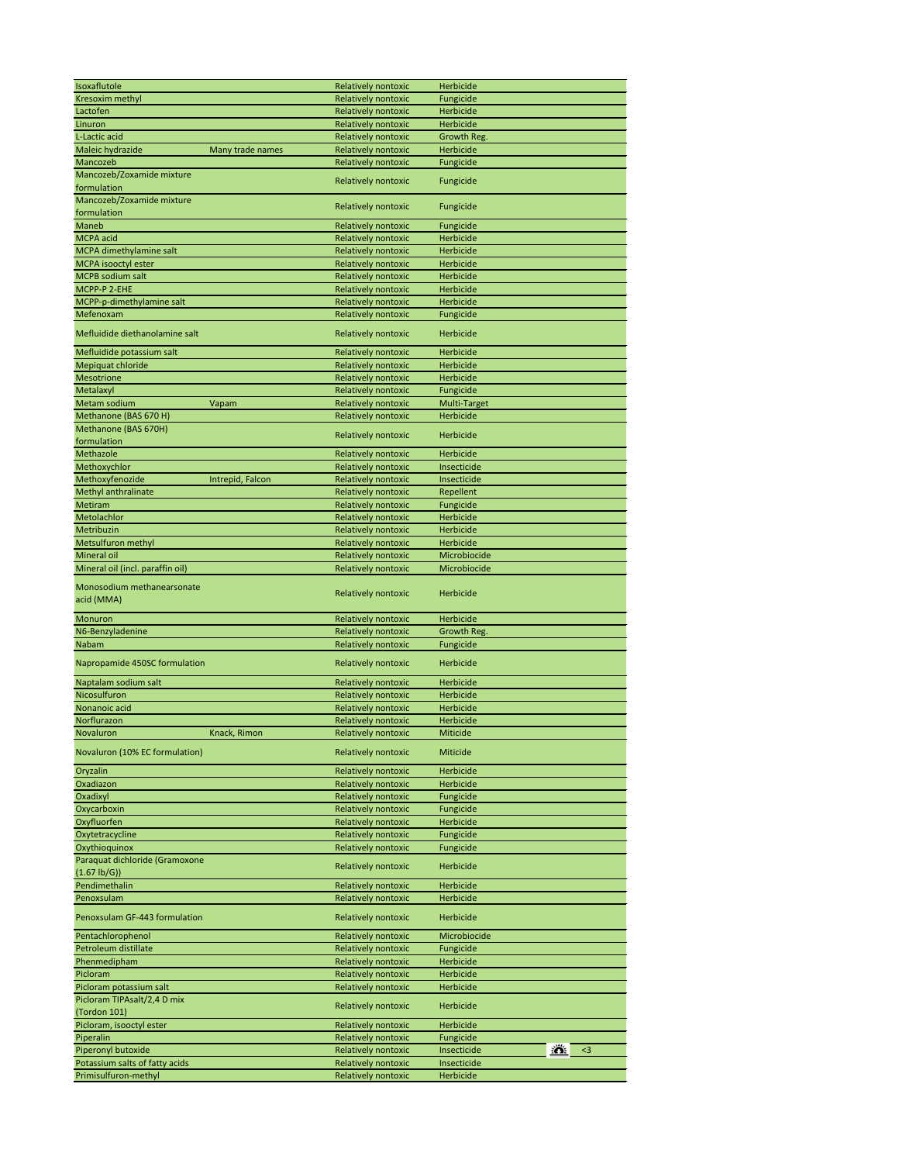| Isoxaflutole                                           |                  | Relatively nontoxic                        | <b>Herbicide</b>                 |
|--------------------------------------------------------|------------------|--------------------------------------------|----------------------------------|
| Kresoxim methyl                                        |                  | <b>Relatively nontoxic</b>                 | Fungicide                        |
| Lactofen                                               |                  | <b>Relatively nontoxic</b>                 | Herbicide                        |
| Linuron                                                |                  | <b>Relatively nontoxic</b>                 | Herbicide                        |
|                                                        |                  |                                            |                                  |
| L-Lactic acid                                          |                  | Relatively nontoxic                        | Growth Reg.                      |
| Maleic hydrazide                                       | Many trade names | Relatively nontoxic                        | Herbicide                        |
| Mancozeb                                               |                  | Relatively nontoxic                        | Fungicide                        |
| Mancozeb/Zoxamide mixture                              |                  |                                            |                                  |
| formulation                                            |                  | Relatively nontoxic                        | Fungicide                        |
| Mancozeb/Zoxamide mixture                              |                  |                                            |                                  |
|                                                        |                  | Relatively nontoxic                        | Fungicide                        |
| formulation                                            |                  |                                            |                                  |
| <b>Maneb</b>                                           |                  | Relatively nontoxic                        | Fungicide                        |
| <b>MCPA</b> acid                                       |                  | Relatively nontoxic                        | Herbicide                        |
| MCPA dimethylamine salt                                |                  | <b>Relatively nontoxic</b>                 | Herbicide                        |
| MCPA isooctyl ester                                    |                  | <b>Relatively nontoxic</b>                 | Herbicide                        |
|                                                        |                  |                                            |                                  |
| <b>MCPB</b> sodium salt                                |                  | Relatively nontoxic                        | Herbicide                        |
| MCPP-P 2-EHE                                           |                  | Relatively nontoxic                        | Herbicide                        |
| MCPP-p-dimethylamine salt                              |                  | Relatively nontoxic                        | Herbicide                        |
| Mefenoxam                                              |                  | Relatively nontoxic                        | Fungicide                        |
|                                                        |                  |                                            |                                  |
| Mefluidide diethanolamine salt                         |                  | Relatively nontoxic                        | Herbicide                        |
|                                                        |                  |                                            |                                  |
| Mefluidide potassium salt                              |                  | Relatively nontoxic                        | Herbicide                        |
| Mepiquat chloride                                      |                  | Relatively nontoxic                        | Herbicide                        |
| Mesotrione                                             |                  | Relatively nontoxic                        | Herbicide                        |
| Metalaxyl                                              |                  | Relatively nontoxic                        | Fungicide                        |
| Metam sodium                                           | Vapam            | Relatively nontoxic                        | Multi-Target                     |
|                                                        |                  |                                            |                                  |
| Methanone (BAS 670 H)                                  |                  | Relatively nontoxic                        | Herbicide                        |
| Methanone (BAS 670H)                                   |                  | Relatively nontoxic                        | Herbicide                        |
| formulation                                            |                  |                                            |                                  |
| Methazole                                              |                  | Relatively nontoxic                        | Herbicide                        |
|                                                        |                  | <b>Relatively nontoxic</b>                 |                                  |
| Methoxychlor                                           |                  |                                            | Insecticide                      |
| Methoxyfenozide                                        | Intrepid, Falcon | <b>Relatively nontoxic</b>                 | Insecticide                      |
| Methyl anthralinate                                    |                  | <b>Relatively nontoxic</b>                 | Repellent                        |
| Metiram                                                |                  | Relatively nontoxic                        | Fungicide                        |
| Metolachlor                                            |                  | Relatively nontoxic                        | Herbicide                        |
| Metribuzin                                             |                  | Relatively nontoxic                        | Herbicide                        |
|                                                        |                  |                                            |                                  |
| Metsulfuron methyl                                     |                  | Relatively nontoxic                        | Herbicide                        |
| <b>Mineral oil</b>                                     |                  | Relatively nontoxic                        | Microbiocide                     |
| Mineral oil (incl. paraffin oil)                       |                  | Relatively nontoxic                        | Microbiocide                     |
|                                                        |                  |                                            |                                  |
|                                                        |                  |                                            |                                  |
| Monosodium methanearsonate                             |                  |                                            |                                  |
| acid (MMA)                                             |                  | Relatively nontoxic                        | Herbicide                        |
|                                                        |                  |                                            |                                  |
| Monuron                                                |                  | <b>Relatively nontoxic</b>                 | Herbicide                        |
| N6-Benzyladenine                                       |                  | Relatively nontoxic                        | Growth Reg.                      |
|                                                        |                  |                                            |                                  |
| Nabam                                                  |                  | Relatively nontoxic                        | Fungicide                        |
| Napropamide 450SC formulation                          |                  | Relatively nontoxic                        | Herbicide                        |
|                                                        |                  |                                            |                                  |
| Naptalam sodium salt                                   |                  | Relatively nontoxic                        | Herbicide                        |
| Nicosulfuron                                           |                  | Relatively nontoxic                        | Herbicide                        |
| Nonanoic acid                                          |                  |                                            | Herbicide                        |
|                                                        |                  | Relatively nontoxic                        |                                  |
| Norflurazon                                            |                  | Relatively nontoxic                        | Herbicide                        |
| Novaluron                                              | Knack, Rimon     | Relatively nontoxic                        | Miticide                         |
|                                                        |                  |                                            |                                  |
| Novaluron (10% EC formulation)                         |                  | Relatively nontoxic                        | Miticide                         |
| Oryzalin                                               |                  | Relatively nontoxic                        | Herbicide                        |
| Oxadiazon                                              |                  |                                            | Herbicide                        |
|                                                        |                  | Relatively nontoxic                        |                                  |
| Oxadixyl                                               |                  | Relatively nontoxic                        | Fungicide                        |
| Oxycarboxin                                            |                  | Relatively nontoxic                        | Fungicide                        |
| Oxyfluorfen                                            |                  | Relatively nontoxic                        | Herbicide                        |
| Oxytetracycline                                        |                  | Relatively nontoxic                        | Fungicide                        |
| Oxythioquinox                                          |                  | Relatively nontoxic                        | Fungicide                        |
|                                                        |                  |                                            |                                  |
| Paraquat dichloride (Gramoxone                         |                  | Relatively nontoxic                        | Herbicide                        |
| $(1.67 \text{ lb/G}))$                                 |                  |                                            |                                  |
| Pendimethalin                                          |                  | Relatively nontoxic                        | Herbicide                        |
| Penoxsulam                                             |                  | Relatively nontoxic                        | Herbicide                        |
|                                                        |                  |                                            |                                  |
| Penoxsulam GF-443 formulation                          |                  | Relatively nontoxic                        | Herbicide                        |
| Pentachlorophenol                                      |                  | Relatively nontoxic                        | Microbiocide                     |
|                                                        |                  |                                            |                                  |
| Petroleum distillate                                   |                  | Relatively nontoxic                        | Fungicide                        |
| Phenmedipham                                           |                  | Relatively nontoxic                        | Herbicide                        |
| Picloram                                               |                  | <b>Relatively nontoxic</b>                 | Herbicide                        |
| Picloram potassium salt                                |                  | <b>Relatively nontoxic</b>                 | Herbicide                        |
| Picloram TIPAsalt/2,4 D mix                            |                  |                                            |                                  |
|                                                        |                  | Relatively nontoxic                        | Herbicide                        |
| (Tordon 101)                                           |                  |                                            |                                  |
| Picloram, isooctyl ester                               |                  | Relatively nontoxic                        | Herbicide                        |
| Piperalin                                              |                  | <b>Relatively nontoxic</b>                 | Fungicide                        |
| Piperonyl butoxide                                     |                  | Relatively nontoxic                        | <u>io.</u><br>Insecticide<br>$3$ |
| Potassium salts of fatty acids<br>Primisulfuron-methyl |                  | Relatively nontoxic<br>Relatively nontoxic | Insecticide<br>Herbicide         |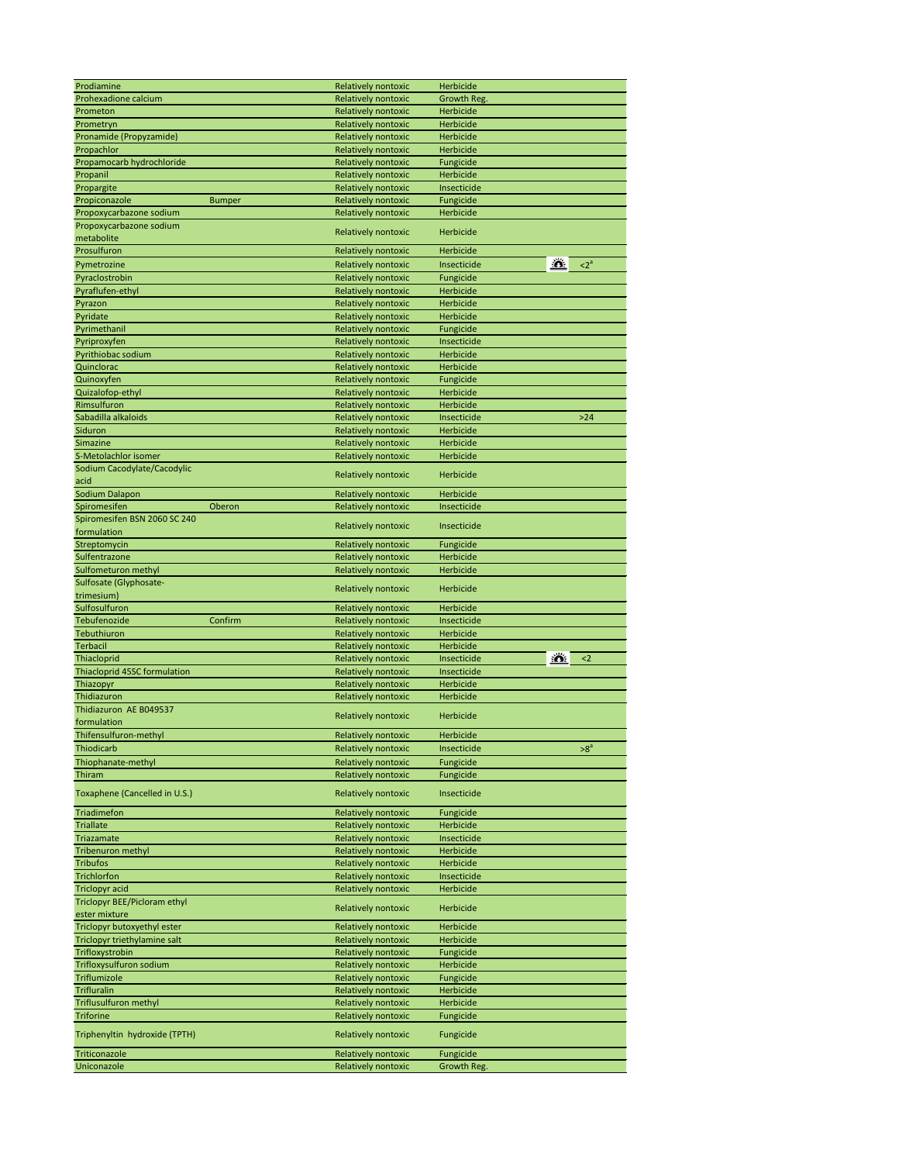| Prodiamine                                    | <b>Relatively nontoxic</b>                        | Herbicide                        |
|-----------------------------------------------|---------------------------------------------------|----------------------------------|
| Prohexadione calcium                          | <b>Relatively nontoxic</b>                        | Growth Reg.                      |
| Prometon                                      | Relatively nontoxic                               | Herbicide                        |
| Prometryn                                     | <b>Relatively nontoxic</b>                        | Herbicide                        |
| Pronamide (Propyzamide)                       | <b>Relatively nontoxic</b>                        | Herbicide                        |
| Propachlor                                    | <b>Relatively nontoxic</b>                        | Herbicide                        |
| Propamocarb hydrochloride                     | <b>Relatively nontoxic</b>                        | Fungicide                        |
| Propanil                                      | Relatively nontoxic                               | Herbicide                        |
| Propargite                                    | <b>Relatively nontoxic</b>                        | Insecticide                      |
| Propiconazole<br><b>Bumper</b>                | <b>Relatively nontoxic</b>                        | Fungicide                        |
| Propoxycarbazone sodium                       | Relatively nontoxic                               | Herbicide                        |
| Propoxycarbazone sodium                       |                                                   |                                  |
| metabolite                                    | Relatively nontoxic                               | Herbicide                        |
| Prosulfuron                                   | Relatively nontoxic                               | <b>Herbicide</b>                 |
|                                               |                                                   | <u>io.</u>                       |
| Pymetrozine                                   | Relatively nontoxic                               | $2^a$<br>Insecticide             |
| Pyraclostrobin                                | Relatively nontoxic                               | Fungicide                        |
| Pyraflufen-ethyl                              | Relatively nontoxic                               | Herbicide                        |
| Pyrazon                                       | Relatively nontoxic                               | Herbicide                        |
| Pyridate                                      | <b>Relatively nontoxic</b>                        | Herbicide                        |
| Pyrimethanil                                  | <b>Relatively nontoxic</b>                        | Fungicide                        |
| Pyriproxyfen                                  | Relatively nontoxic                               | Insecticide                      |
| Pyrithiobac sodium                            | Relatively nontoxic                               | Herbicide                        |
| Quinclorac                                    | Relatively nontoxic                               | Herbicide                        |
| Quinoxyfen                                    | <b>Relatively nontoxic</b>                        | Fungicide                        |
| Quizalofop-ethyl                              | <b>Relatively nontoxic</b>                        | Herbicide                        |
| Rimsulfuron                                   | Relatively nontoxic                               | Herbicide                        |
| Sabadilla alkaloids                           | Relatively nontoxic                               | Insecticide<br>$>24$             |
| Siduron                                       | <b>Relatively nontoxic</b>                        | Herbicide                        |
| Simazine                                      | <b>Relatively nontoxic</b>                        | Herbicide                        |
| S-Metolachlor isomer                          | Relatively nontoxic                               | Herbicide                        |
| Sodium Cacodylate/Cacodylic                   | Relatively nontoxic                               | Herbicide                        |
| acid                                          |                                                   |                                  |
| Sodium Dalapon                                | Relatively nontoxic                               | Herbicide                        |
| Oberon<br>Spiromesifen                        | Relatively nontoxic                               | Insecticide                      |
| Spiromesifen BSN 2060 SC 240                  | Relatively nontoxic                               | Insecticide                      |
| formulation                                   |                                                   |                                  |
| Streptomycin                                  | Relatively nontoxic                               | Fungicide                        |
| Sulfentrazone                                 | <b>Relatively nontoxic</b>                        | <b>Herbicide</b>                 |
| Sulfometuron methyl<br>Sulfosate (Glyphosate- | Relatively nontoxic                               | Herbicide                        |
| trimesium)                                    | Relatively nontoxic                               | Herbicide                        |
| Sulfosulfuron                                 | Relatively nontoxic                               | Herbicide                        |
| Tebufenozide<br>Confirm                       | Relatively nontoxic                               | Insecticide                      |
| Tebuthiuron                                   | <b>Relatively nontoxic</b>                        | Herbicide                        |
| <b>Terbacil</b>                               | Relatively nontoxic                               | Herbicide                        |
|                                               |                                                   | <u>:ö.</u><br>Insecticide<br>$2$ |
| Thiacloprid                                   | Relatively nontoxic<br><b>Relatively nontoxic</b> | Insecticide                      |
| Thiacloprid 45SC formulation                  |                                                   | Herbicide                        |
| Thiazopyr<br>Thidiazuron                      | Relatively nontoxic                               |                                  |
| Thidiazuron AE B049537                        | Relatively nontoxic                               | Herbicide                        |
| formulation                                   | Relatively nontoxic                               | Herbicide                        |
| Thifensulfuron-methyl                         | Relatively nontoxic                               | Herbicide                        |
| Thiodicarb                                    | Relatively nontoxic                               | $>8^a$<br>Insecticide            |
|                                               |                                                   |                                  |
| Thiophanate-methyl                            | Relatively nontoxic                               | Fungicide                        |
| Thiram                                        | <b>Relatively nontoxic</b>                        | Fungicide                        |
| Toxaphene (Cancelled in U.S.)                 | Relatively nontoxic                               | Insecticide                      |
| Triadimefon                                   | Relatively nontoxic                               | Fungicide                        |
| <b>Triallate</b>                              | Relatively nontoxic                               | Herbicide                        |
| <b>Triazamate</b>                             |                                                   |                                  |
|                                               |                                                   |                                  |
|                                               | Relatively nontoxic                               | Insecticide                      |
| Tribenuron methyl                             | <b>Relatively nontoxic</b>                        | <b>Herbicide</b>                 |
| <b>Tribufos</b>                               | Relatively nontoxic                               | Herbicide                        |
| <b>Trichlorfon</b>                            | Relatively nontoxic                               | Insecticide                      |
| <b>Triclopyr acid</b>                         | Relatively nontoxic                               | Herbicide                        |
| Triclopyr BEE/Picloram ethyl                  | Relatively nontoxic                               | Herbicide                        |
| ester mixture<br>Triclopyr butoxyethyl ester  | Relatively nontoxic                               | Herbicide                        |
| Triclopyr triethylamine salt                  | Relatively nontoxic                               | Herbicide                        |
| Trifloxystrobin                               | Relatively nontoxic                               | Fungicide                        |
| Trifloxysulfuron sodium                       | Relatively nontoxic                               | Herbicide                        |
| Triflumizole                                  | Relatively nontoxic                               | Fungicide                        |
| <b>Trifluralin</b>                            | Relatively nontoxic                               | Herbicide                        |
| <b>Triflusulfuron methyl</b>                  | Relatively nontoxic                               | Herbicide                        |
| <b>Triforine</b>                              | <b>Relatively nontoxic</b>                        | Fungicide                        |
|                                               |                                                   |                                  |
| Triphenyltin hydroxide (TPTH)                 | Relatively nontoxic                               | Fungicide                        |
| Triticonazole<br>Uniconazole                  | Relatively nontoxic<br><b>Relatively nontoxic</b> | Fungicide<br>Growth Reg.         |